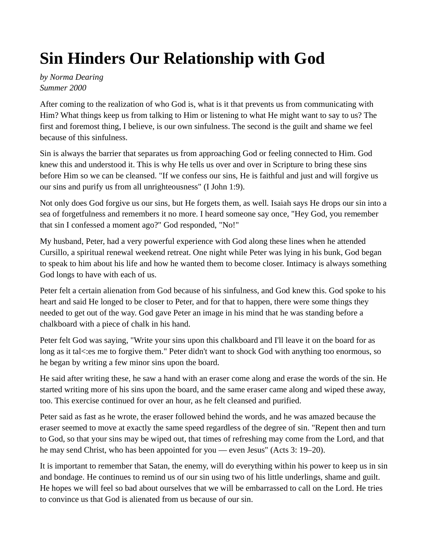## Sin Hinders Our Relationship with God

by Norma Dearing Summer 2000

After coming to the realization of who God is, what is it that prevents us from communicating with Him? What things keep us from talking to Him or listening to what He might want to say to us? The first and foremost thing, I believe, is our own sinfulness. The second is the guilt and shame we feel because of this sinfulness.

Sin is always the barrier that separates us from approaching God or feeling connected to Him. God knew this and understood it. This is why He tells us over and over in Scripture to bring these sins before Him so we can be cleansed. "If we confess our sins, He is faithful and just and will forgive us our sins and purify us from all unrighteousness" (I John 1:9).

Not only does God forgive us our sins, but He forgets them, as well. Isaiah says He drops our sin into a sea of forgetfulness and remembers it no more. I heard someone say once, "Hey God, you remember that sin I confessed a moment ago?" God responded, "No!"

My husband, Peter, had a very powerful experience with God along these lines when he attended Cursillo, a spiritual renewal weekend retreat. One night while Peter was lying in his bunk, God began to speak to him about his life and how he wanted them to become closer. Intimacy is always something God longs to have with each of us.

Peter felt a certain alienation from God because of his sinfulness, and God knew this. God spoke to his heart and said He longed to be closer to Peter, and for that to happen, there were some things they needed to get out of the way. God gave Peter an image in his mind that he was standing before a chalkboard with a piece of chalk in his hand.

Peter felt God was saying, "Write your sins upon this chalkboard and I'll leave it on the board for as long as it tal<:es me to forgive them." Peter didn't want to shock God with anything too enormous, so he began by writing a few minor sins upon the board.

He said after writing these, he saw a hand with an eraser come along and erase the words of the sin. He started writing more of his sins upon the board, and the same eraser came along and wiped these away, too. This exercise continued for over an hour, as he felt cleansed and purified.

Peter said as fast as he wrote, the eraser followed behind the words, and he was amazed because the eraser seemed to move at exactly the same speed regardless of the degree of sin. "Repent then and turn to God, so that your sins may be wiped out, that times of refreshing may come from the Lord, and that he may send Christ, who has been appointed for you — even Jesus" (Acts 3: 19–20).

It is important to remember that Satan, the enemy, will do everything within his power to keep us in sin and bondage. He continues to remind us of our sin using two of his little underlings, shame and guilt. He hopes we will feel so bad about ourselves that we will be embarrassed to call on the Lord. He tries to convince us that God is alienated from us because of our sin.